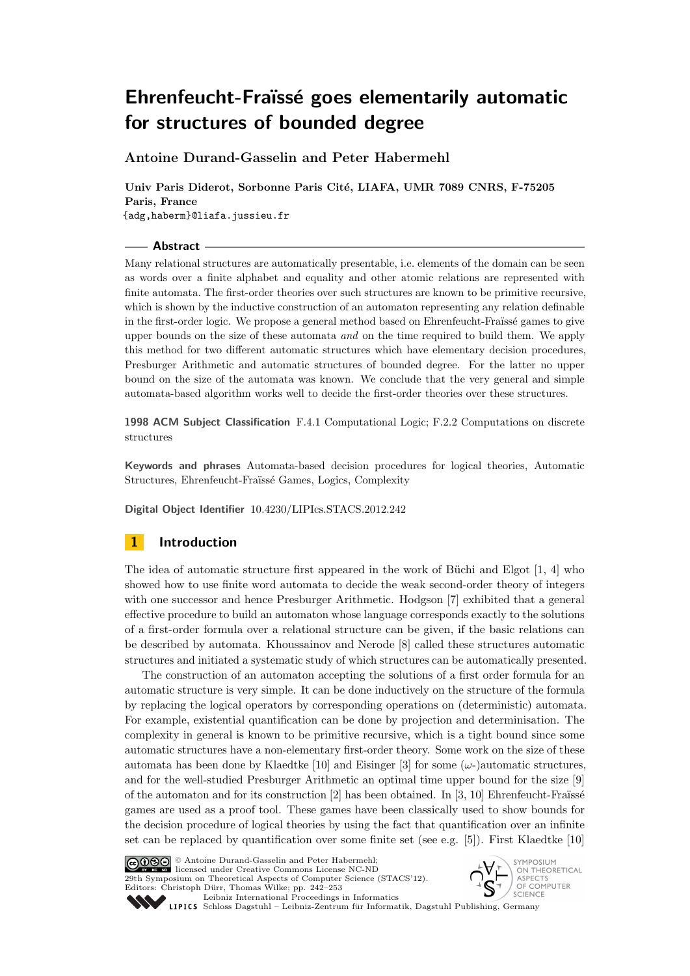**Antoine Durand-Gasselin and Peter Habermehl**

**Univ Paris Diderot, Sorbonne Paris Cité, LIAFA, UMR 7089 CNRS, F-75205 Paris, France** {adg,haberm}@liafa.jussieu.fr

## **Abstract**

Many relational structures are automatically presentable, i.e. elements of the domain can be seen as words over a finite alphabet and equality and other atomic relations are represented with finite automata. The first-order theories over such structures are known to be primitive recursive, which is shown by the inductive construction of an automaton representing any relation definable in the first-order logic. We propose a general method based on Ehrenfeucht-Fraïssé games to give upper bounds on the size of these automata *and* on the time required to build them. We apply this method for two different automatic structures which have elementary decision procedures, Presburger Arithmetic and automatic structures of bounded degree. For the latter no upper bound on the size of the automata was known. We conclude that the very general and simple automata-based algorithm works well to decide the first-order theories over these structures.

**1998 ACM Subject Classification** F.4.1 Computational Logic; F.2.2 Computations on discrete structures

**Keywords and phrases** Automata-based decision procedures for logical theories, Automatic Structures, Ehrenfeucht-Fraïssé Games, Logics, Complexity

**Digital Object Identifier** 10.4230/LIPIcs.STACS.2012.242

# **1 Introduction**

The idea of automatic structure first appeared in the work of Büchi and Elgot [[1](#page-11-0), [4](#page-11-1)] who showed how to use finite word automata to decide the weak second-order theory of integers with one successor and hence Presburger Arithmetic. Hodgson [[7](#page-11-2)] exhibited that a general effective procedure to build an automaton whose language corresponds exactly to the solutions of a first-order formula over a relational structure can be given, if the basic relations can be described by automata. Khoussainov and Nerode [[8](#page-11-3)] called these structures automatic structures and initiated a systematic study of which structures can be automatically presented.

The construction of an automaton accepting the solutions of a first order formula for an automatic structure is very simple. It can be done inductively on the structure of the formula by replacing the logical operators by corresponding operations on (deterministic) automata. For example, existential quantification can be done by projection and determinisation. The complexity in general is known to be primitive recursive, which is a tight bound since some automatic structures have a non-elementary first-order theory. Some work on the size of these automata has been done by Klaedtke [[10](#page-11-4)] and Eisinger [[3](#page-11-5)] for some  $(\omega$ -)automatic structures, and for the well-studied Presburger Arithmetic an optimal time upper bound for the size [[9](#page-11-6)] of the automaton and for its construction [[2](#page-11-7)] has been obtained. In [[3](#page-11-5), [10](#page-11-4)] Ehrenfeucht-Fraïssé games are used as a proof tool. These games have been classically used to show bounds for the decision procedure of logical theories by using the fact that quantification over an infinite set can be replaced by quantification over some finite set (see e.g.  $[5]$  $[5]$  $[5]$ ). First Klaedtke  $[10]$  $[10]$  $[10]$ 





Leibniz international Froceenings in informatik, Dagstuhl Publishing, Germany<br>LIPICS [Schloss Dagstuhl – Leibniz-Zentrum für Informatik, Dagstuhl Publishing, Germany](http://www.dagstuhl.de)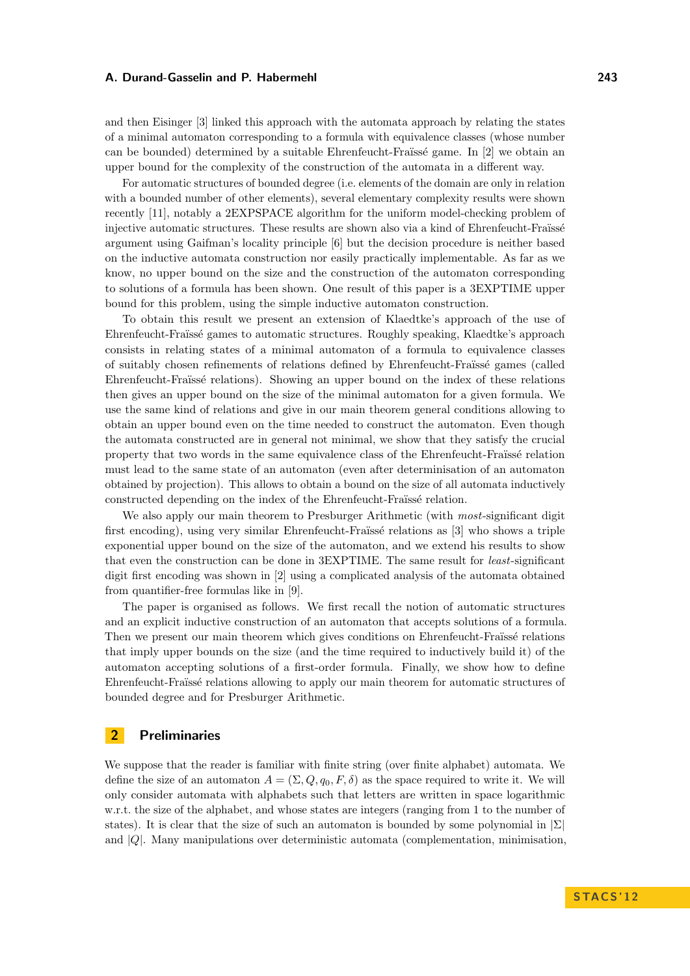and then Eisinger [[3](#page-11-5)] linked this approach with the automata approach by relating the states of a minimal automaton corresponding to a formula with equivalence classes (whose number can be bounded) determined by a suitable Ehrenfeucht-Fraïssé game. In [[2](#page-11-7)] we obtain an upper bound for the complexity of the construction of the automata in a different way.

For automatic structures of bounded degree (i.e. elements of the domain are only in relation with a bounded number of other elements), several elementary complexity results were shown recently [[11](#page-11-10)], notably a 2EXPSPACE algorithm for the uniform model-checking problem of injective automatic structures. These results are shown also via a kind of Ehrenfeucht-Fraïssé argument using Gaifman's locality principle [[6](#page-11-11)] but the decision procedure is neither based on the inductive automata construction nor easily practically implementable. As far as we know, no upper bound on the size and the construction of the automaton corresponding to solutions of a formula has been shown. One result of this paper is a 3EXPTIME upper bound for this problem, using the simple inductive automaton construction.

To obtain this result we present an extension of Klaedtke's approach of the use of Ehrenfeucht-Fraïssé games to automatic structures. Roughly speaking, Klaedtke's approach consists in relating states of a minimal automaton of a formula to equivalence classes of suitably chosen refinements of relations defined by Ehrenfeucht-Fraïssé games (called Ehrenfeucht-Fraïssé relations). Showing an upper bound on the index of these relations then gives an upper bound on the size of the minimal automaton for a given formula. We use the same kind of relations and give in our main theorem general conditions allowing to obtain an upper bound even on the time needed to construct the automaton. Even though the automata constructed are in general not minimal, we show that they satisfy the crucial property that two words in the same equivalence class of the Ehrenfeucht-Fraïssé relation must lead to the same state of an automaton (even after determinisation of an automaton obtained by projection). This allows to obtain a bound on the size of all automata inductively constructed depending on the index of the Ehrenfeucht-Fraïssé relation.

We also apply our main theorem to Presburger Arithmetic (with *most*-significant digit first encoding), using very similar Ehrenfeucht-Fraïssé relations as [[3](#page-11-5)] who shows a triple exponential upper bound on the size of the automaton, and we extend his results to show that even the construction can be done in 3EXPTIME. The same result for *least*-significant digit first encoding was shown in [[2](#page-11-7)] using a complicated analysis of the automata obtained from quantifier-free formulas like in [\[9\]](#page-11-6).

The paper is organised as follows. We first recall the notion of automatic structures and an explicit inductive construction of an automaton that accepts solutions of a formula. Then we present our main theorem which gives conditions on Ehrenfeucht-Fraïssé relations that imply upper bounds on the size (and the time required to inductively build it) of the automaton accepting solutions of a first-order formula. Finally, we show how to define Ehrenfeucht-Fraïssé relations allowing to apply our main theorem for automatic structures of bounded degree and for Presburger Arithmetic.

## **2 Preliminaries**

We suppose that the reader is familiar with finite string (over finite alphabet) automata. We define the size of an automaton  $A = (\Sigma, Q, q_0, F, \delta)$  as the space required to write it. We will only consider automata with alphabets such that letters are written in space logarithmic w.r.t. the size of the alphabet, and whose states are integers (ranging from 1 to the number of states). It is clear that the size of such an automaton is bounded by some polynomial in  $\Sigma$ and  $|Q|$ . Many manipulations over deterministic automata (complementation, minimisation,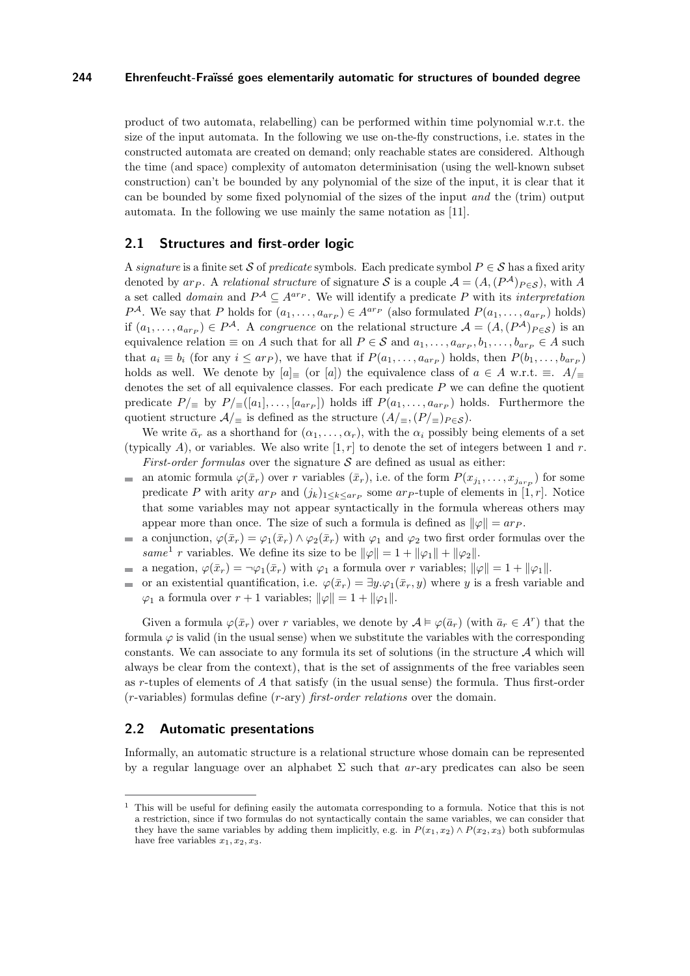product of two automata, relabelling) can be performed within time polynomial w.r.t. the size of the input automata. In the following we use on-the-fly constructions, i.e. states in the constructed automata are created on demand; only reachable states are considered. Although the time (and space) complexity of automaton determinisation (using the well-known subset construction) can't be bounded by any polynomial of the size of the input, it is clear that it can be bounded by some fixed polynomial of the sizes of the input *and* the (trim) output automata. In the following we use mainly the same notation as [\[11\]](#page-11-10).

## **2.1 Structures and first-order logic**

A *signature* is a finite set S of *predicate* symbols. Each predicate symbol  $P \in S$  has a fixed arity denoted by ar<sub>P</sub>. A *relational structure* of signature S is a couple  $A = (A, (P^{\mathcal{A}})_{P \in \mathcal{S}})$ , with A a set called *domain* and  $P^{\mathcal{A}} \subseteq A^{ar_{P}}$ . We will identify a predicate P with its *interpretation*  $P^{\mathcal{A}}$ . We say that P holds for  $(a_1, \ldots, a_{ar_P}) \in A^{ar_P}$  (also formulated  $P(a_1, \ldots, a_{ar_P})$  holds) if  $(a_1, \ldots, a_{ar_P}) \in P^{\mathcal{A}}$ . A *congruence* on the relational structure  $\mathcal{A} = (A, (P^{\mathcal{A}})_{P \in \mathcal{S}})$  is an equivalence relation  $\equiv$  on A such that for all  $P \in \mathcal{S}$  and  $a_1, \ldots, a_{arp}, b_1, \ldots, b_{arp} \in A$  such that  $a_i \equiv b_i$  (for any  $i \leq ar_P$ ), we have that if  $P(a_1, \ldots, a_{ar_P})$  holds, then  $P(b_1, \ldots, b_{ar_P})$ holds as well. We denote by  $[a]_\equiv$  (or  $[a]$ ) the equivalence class of  $a \in A$  w.r.t.  $\equiv A/\equiv$ denotes the set of all equivalence classes. For each predicate  $P$  we can define the quotient predicate  $P/\equiv$  by  $P/\equiv([a_1], \ldots, [a_{arp}])$  holds iff  $P(a_1, \ldots, a_{arp})$  holds. Furthermore the quotient structure  $\mathcal{A}/_{\equiv}$  is defined as the structure  $(A/_{\equiv}, (P/_{\equiv})_{P \in \mathcal{S}})$ .

We write  $\bar{\alpha}_r$  as a shorthand for  $(\alpha_1, \ldots, \alpha_r)$ , with the  $\alpha_i$  possibly being elements of a set (typically A), or variables. We also write  $[1, r]$  to denote the set of integers between 1 and r. *First-order formulas* over the signature  $S$  are defined as usual as either:

- $\equiv$ an atomic formula  $\varphi(\bar{x}_r)$  over r variables  $(\bar{x}_r)$ , i.e. of the form  $P(x_{j_1}, \ldots, x_{j_{arp}})$  for some predicate P with arity  $ar_P$  and  $(j_k)_{1 \leq k \leq ar_P}$  some  $ar_P$ -tuple of elements in [1, r]. Notice that some variables may not appear syntactically in the formula whereas others may appear more than once. The size of such a formula is defined as  $\|\varphi\| = ar_P$ .
- a conjunction,  $\varphi(\bar{x}_r) = \varphi_1(\bar{x}_r) \wedge \varphi_2(\bar{x}_r)$  with  $\varphi_1$  and  $\varphi_2$  two first order formulas over the  $\equiv$ *same*<sup>1</sup> *r* variables. We define its size to be  $\|\varphi\| = 1 + \|\varphi_1\| + \|\varphi_2\|$ .
- a negation,  $\varphi(\bar{x}_r) = \neg \varphi_1(\bar{x}_r)$  with  $\varphi_1$  a formula over r variables;  $\|\varphi\| = 1 + \|\varphi_1\|$ .
- or an existential quantification, i.e.  $\varphi(\bar{x}_r) = \exists y \cdot \varphi_1(\bar{x}_r, y)$  where y is a fresh variable and  $\overline{a}$  $\varphi_1$  a formula over  $r + 1$  variables;  $\|\varphi\| = 1 + \|\varphi_1\|$ .

Given a formula  $\varphi(\bar{x}_r)$  over r variables, we denote by  $\mathcal{A} \models \varphi(\bar{a}_r)$  (with  $\bar{a}_r \in A^r$ ) that the formula  $\varphi$  is valid (in the usual sense) when we substitute the variables with the corresponding constants. We can associate to any formula its set of solutions (in the structure  $A$  which will always be clear from the context), that is the set of assignments of the free variables seen as r-tuples of elements of A that satisfy (in the usual sense) the formula. Thus first-order (r-variables) formulas define (r-ary) *first-order relations* over the domain.

## **2.2 Automatic presentations**

Informally, an automatic structure is a relational structure whose domain can be represented by a regular language over an alphabet  $\Sigma$  such that ar-ary predicates can also be seen

 $1$ . This will be useful for defining easily the automata corresponding to a formula. Notice that this is not a restriction, since if two formulas do not syntactically contain the same variables, we can consider that they have the same variables by adding them implicitly, e.g. in  $P(x_1, x_2) \wedge P(x_2, x_3)$  both subformulas have free variables  $x_1, x_2, x_3$ .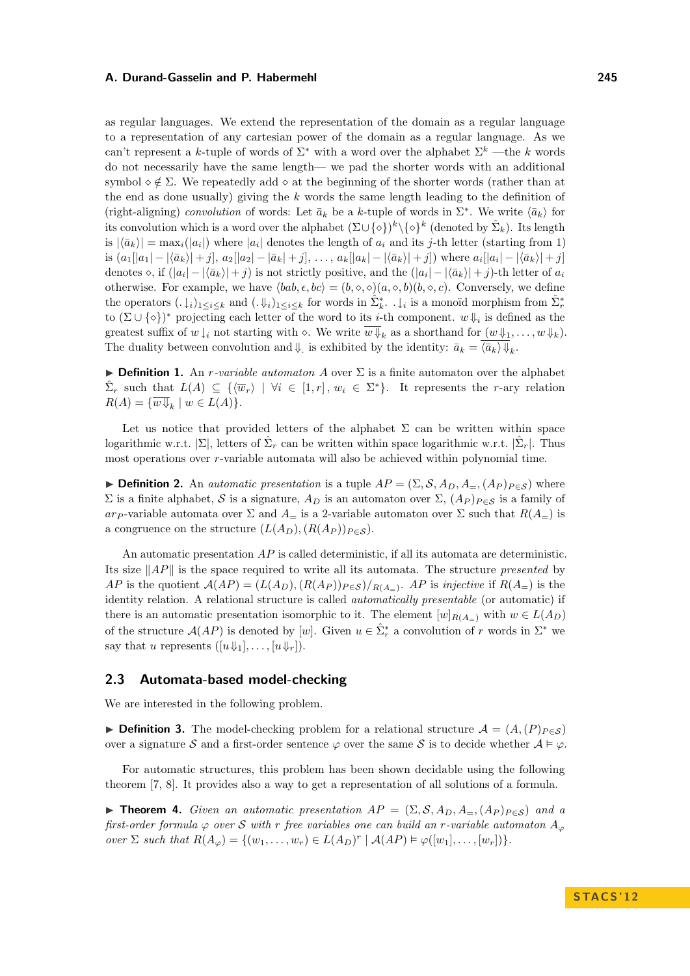as regular languages. We extend the representation of the domain as a regular language to a representation of any cartesian power of the domain as a regular language. As we can't represent a k-tuple of words of  $\Sigma^*$  with a word over the alphabet  $\Sigma^k$  —the k words do not necessarily have the same length— we pad the shorter words with an additional symbol  $\circ \notin \Sigma$ . We repeatedly add  $\circ$  at the beginning of the shorter words (rather than at the end as done usually) giving the  $k$  words the same length leading to the definition of (right-aligning) *convolution* of words: Let  $\bar{a}_k$  be a k-tuple of words in  $\Sigma^*$ . We write  $\langle \bar{a}_k \rangle$  for its convolution which is a word over the alphabet  $(\Sigma \cup {\{\diamond\}})^k \setminus {\{\diamond\}}^k$  (denoted by  $\hat{\Sigma}_k$ ). Its length is  $|\langle \bar{a}_k \rangle| = \max_i(|a_i|)$  where  $|a_i|$  denotes the length of  $a_i$  and its j-th letter (starting from 1) is  $(a_1[|a_1| - |\langle \bar{a}_k \rangle| + j], a_2[|a_2| - |\bar{a}_k| + j], \ldots, a_k[|a_k| - |\langle \bar{a}_k \rangle| + j])$  where  $a_i[|a_i| - |\langle \bar{a}_k \rangle| + j]$ denotes  $\diamond$ , if  $(|a_i| - |\langle \bar{a}_k \rangle| + j)$  is not strictly positive, and the  $(|a_i| - |\langle \bar{a}_k \rangle| + j)$ -th letter of  $a_i$ otherwise. For example, we have  $\langle bab, \epsilon, bc \rangle = (b, \diamond, \diamond)(a, \diamond, b)(b, \diamond, c)$ . Conversely, we define the operators  $(.\downarrow_i)_{1\leq i\leq k}$  and  $(.\Downarrow_i)_{1\leq i\leq k}$  for words in  $\hat{\Sigma}_k^*$ .  $.\downarrow_i$  is a monoïd morphism from  $\hat{\Sigma}_r^*$ to  $(\Sigma \cup {\{\diamond\}})^*$  projecting each letter of the word to its *i*-th component.  $w \Downarrow_i$  is defined as the greatest suffix of  $w \downarrow_i$  not starting with  $\diamond$ . We write  $\overline{w \Downarrow}_k$  as a shorthand for  $(w \Downarrow_1, \ldots, w \Downarrow_k)$ . The duality between convolution and  $\Downarrow$  is exhibited by the identity:  $\bar{a}_k = \langle \bar{a}_k \rangle \Downarrow_k$ .

**Definition 1.** An *r*-variable automaton A over  $\Sigma$  is a finite automaton over the alphabet  $\hat{\Sigma}_r$  such that  $L(A) \subseteq \{ \langle \overline{w}_r \rangle \mid \forall i \in [1,r], w_i \in \Sigma^* \}.$  It represents the r-ary relation  $R(A) = \{w \Downarrow_k \mid w \in L(A)\}.$ 

Let us notice that provided letters of the alphabet  $\Sigma$  can be written within space logarithmic w.r.t.  $|\Sigma|$ , letters of  $\hat{\Sigma}_r$  can be written within space logarithmic w.r.t.  $|\hat{\Sigma}_r|$ . Thus most operations over r-variable automata will also be achieved within polynomial time.

**Definition 2.** An *automatic presentation* is a tuple  $AP = (\Sigma, \mathcal{S}, A_D, A_{\equiv}, (A_P)_{P \in \mathcal{S}})$  where  $\Sigma$  is a finite alphabet, S is a signature,  $A_D$  is an automaton over  $\Sigma$ ,  $(A_P)_{P \in S}$  is a family of ar-p-variable automata over  $\Sigma$  and  $A_{\equiv}$  is a 2-variable automaton over  $\Sigma$  such that  $R(A_{\equiv})$  is a congruence on the structure  $(L(A_D), (R(A_P))_{P \in S})$ .

An automatic presentation  $AP$  is called deterministic, if all its automata are deterministic. Its size  $||AP||$  is the space required to write all its automata. The structure *presented* by AP is the quotient  $A(AP) = (L(A_D), (R(A_P))_{P \in S})/R(A_P)$ . AP is *injective* if  $R(A=)$  is the identity relation. A relational structure is called *automatically presentable* (or automatic) if there is an automatic presentation isomorphic to it. The element  $[w]_{R(A-)}$  with  $w \in L(A_D)$ of the structure  $\mathcal{A}(AP)$  is denoted by [w]. Given  $u \in \hat{\Sigma}_r^*$  a convolution of r words in  $\Sigma^*$  we say that u represents  $([u\Downarrow_1], \ldots, [u\Downarrow_r])$ .

## **2.3 Automata-based model-checking**

We are interested in the following problem.

**► Definition 3.** The model-checking problem for a relational structure  $A = (A,(P)_{P \in S})$ over a signature S and a first-order sentence  $\varphi$  over the same S is to decide whether  $\mathcal{A} \models \varphi$ .

For automatic structures, this problem has been shown decidable using the following theorem [\[7,](#page-11-2) [8\]](#page-11-3). It provides also a way to get a representation of all solutions of a formula.

<span id="page-3-0"></span>**► Theorem 4.** *Given an automatic presentation*  $AP = (\Sigma, \mathcal{S}, A_D, A_{\Xi}, (A_P)_{P \in \mathcal{S}})$  *and a first-order formula*  $\varphi$  *over* S *with* r *free variables one can build an* r-variable automaton  $A_{\varphi}$ *over*  $\Sigma$  *such that*  $R(A_{\varphi}) = \{(w_1, \ldots, w_r) \in L(A_D)^r \mid A(AP) \models \varphi([w_1], \ldots, [w_r])\}.$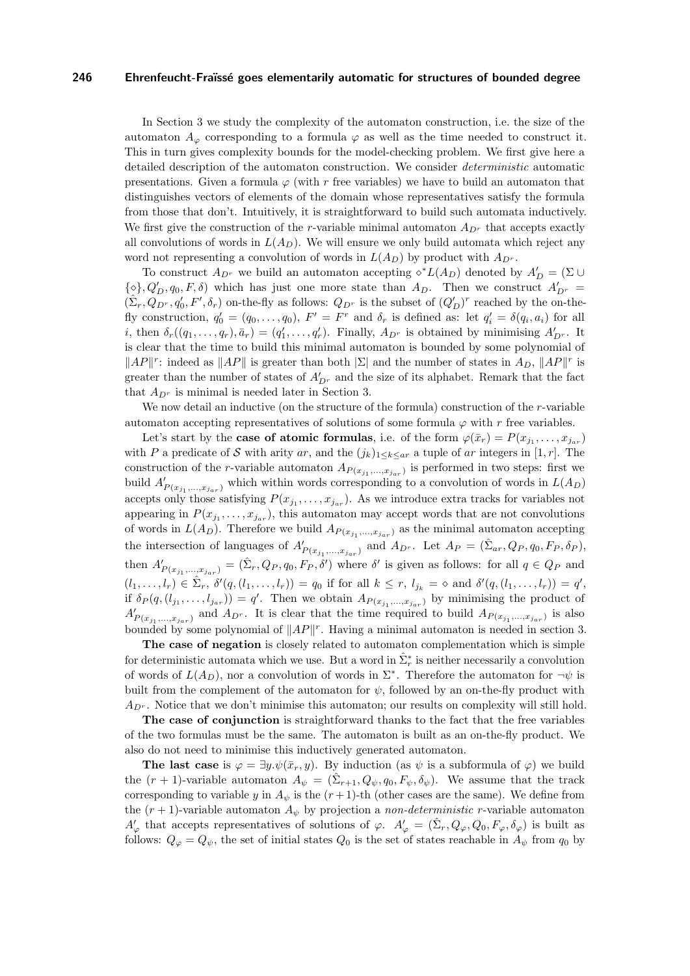In Section [3](#page-5-0) we study the complexity of the automaton construction, i.e. the size of the automaton  $A_{\varphi}$  corresponding to a formula  $\varphi$  as well as the time needed to construct it. This in turn gives complexity bounds for the model-checking problem. We first give here a detailed description of the automaton construction. We consider *deterministic* automatic presentations. Given a formula  $\varphi$  (with r free variables) we have to build an automaton that distinguishes vectors of elements of the domain whose representatives satisfy the formula from those that don't. Intuitively, it is straightforward to build such automata inductively. We first give the construction of the r-variable minimal automaton  $A_{D^r}$  that accepts exactly all convolutions of words in  $L(A_D)$ . We will ensure we only build automata which reject any word not representing a convolution of words in  $L(A_D)$  by product with  $A_{D^r}$ .

To construct  $A_{D^r}$  we build an automaton accepting  $\diamond^* L(A_D)$  denoted by  $A'_D = (\Sigma \cup$  $\{\diamond\}, Q'_D, q_0, F, \delta$  which has just one more state than  $A_D$ . Then we construct  $A'_{D^r}$  $(\hat{\Sigma}_r, Q_{D^r}, q'_0, F', \delta_r)$  on-the-fly as follows:  $Q_{D^r}$  is the subset of  $(Q'_D)^r$  reached by the on-thefly construction,  $q'_0 = (q_0, \ldots, q_0)$ ,  $F' = F^r$  and  $\delta_r$  is defined as: let  $q'_i = \delta(q_i, a_i)$  for all *i*, then  $\delta_r((q_1,\ldots,q_r),\bar{a}_r) = (q'_1,\ldots,q'_r)$ . Finally,  $A_{D^r}$  is obtained by minimising  $A'_{D^r}$ . It is clear that the time to build this minimal automaton is bounded by some polynomial of  $||AP||^r$ : indeed as  $||AP||$  is greater than both  $|\Sigma|$  and the number of states in  $A_D$ ,  $||AP||^r$  is greater than the number of states of  $A'_{D^r}$  and the size of its alphabet. Remark that the fact that  $A_{D^r}$  is minimal is needed later in Section [3.](#page-5-0)

We now detail an inductive (on the structure of the formula) construction of the r-variable automaton accepting representatives of solutions of some formula  $\varphi$  with r free variables.

Let's start by the **case of atomic formulas**, i.e. of the form  $\varphi(\bar{x}_r) = P(x_{j_1}, \ldots, x_{j_{ar}})$ with P a predicate of S with arity ar, and the  $(j_k)_{1\leq k\leq ar}$  a tuple of ar integers in [1, r]. The construction of the r-variable automaton  $A_{P(x_{j_1},...,x_{j_{ar}})}$  is performed in two steps: first we build  $A'_{P(x_{j_1},...,x_{j_{ar}})}$  which within words corresponding to a convolution of words in  $L(A_D)$ accepts only those satisfying  $P(x_{j_1},...,x_{j_{ar}})$ . As we introduce extra tracks for variables not appearing in  $P(x_{j_1},...,x_{j_{ar}})$ , this automaton may accept words that are not convolutions of words in  $L(A_D)$ . Therefore we build  $A_{P(x_{j_1},...,x_{j_{ar}})}$  as the minimal automaton accepting the intersection of languages of  $A'_{P(x_{j_1},...,x_{j_{ar}})}$  and  $A_{D^r}$ . Let  $A_P = (\hat{\Sigma}_{ar}, Q_P, q_0, F_P, \delta_P)$ , then  $A'_{P(x_{j_1},...,x_{j_{ar}})} = (\hat{\Sigma}_r, Q_P, q_0, F_P, \delta')$  where  $\delta'$  is given as follows: for all  $q \in Q_P$  and  $(l_1, \ldots, l_r) \in \hat{\Sigma}_r, \ \delta'(q, (l_1, \ldots, l_r)) = q_0 \text{ if for all } k \leq r, \ l_{j_k} = \infty \text{ and } \delta'(q, (l_1, \ldots, l_r)) = q',$ if  $\delta_P(q, (l_{j_1},...,l_{j_{ar}})) = q'$ . Then we obtain  $A_{P(x_{j_1},...,x_{j_{ar}})}$  by minimising the product of  $A'_{P(x_{j_1},...,x_{j_{ar}})}$  and  $A_{D^r}$ . It is clear that the time required to build  $A_{P(x_{j_1},...,x_{j_{ar}})}$  is also bounded by some polynomial of  $||AP||^r$ . Having a minimal automaton is needed in section [3.](#page-5-0)

**The case of negation** is closely related to automaton complementation which is simple for deterministic automata which we use. But a word in  $\hat{\Sigma}_r^*$  is neither necessarily a convolution of words of  $L(A_D)$ , nor a convolution of words in  $\Sigma^*$ . Therefore the automaton for  $\neg\psi$  is built from the complement of the automaton for  $\psi$ , followed by an on-the-fly product with  $A_{D^{r}}$ . Notice that we don't minimise this automaton; our results on complexity will still hold.

**The case of conjunction** is straightforward thanks to the fact that the free variables of the two formulas must be the same. The automaton is built as an on-the-fly product. We also do not need to minimise this inductively generated automaton.

**The last case** is  $\varphi = \exists y \psi(\bar{x}_r, y)$ . By induction (as  $\psi$  is a subformula of  $\varphi$ ) we build the  $(r+1)$ -variable automaton  $A_{\psi} = (\hat{\Sigma}_{r+1}, Q_{\psi}, q_0, F_{\psi}, \delta_{\psi})$ . We assume that the track corresponding to variable y in  $A_{\psi}$  is the  $(r+1)$ -th (other cases are the same). We define from the  $(r + 1)$ -variable automaton  $A_{\psi}$  by projection a *non-deterministic* r-variable automaton  $A'_\varphi$  that accepts representatives of solutions of  $\varphi$ .  $A'_\varphi = (\hat{\Sigma}_r, Q_\varphi, Q_0, F_\varphi, \delta_\varphi)$  is built as follows:  $Q_{\varphi} = Q_{\psi}$ , the set of initial states  $Q_0$  is the set of states reachable in  $A_{\psi}$  from  $q_0$  by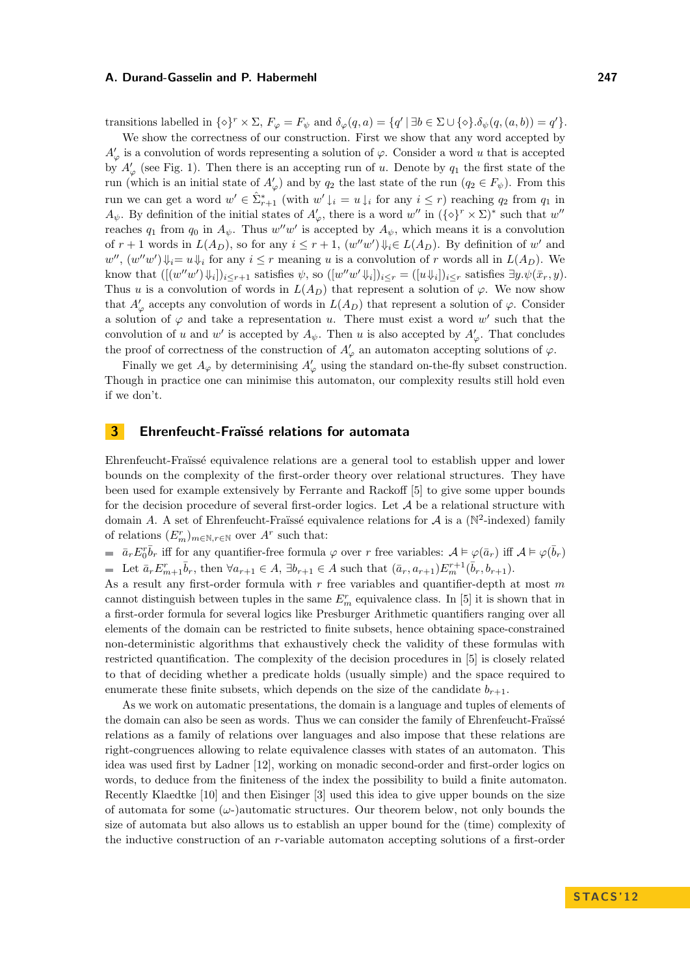transitions labelled in  $\{\diamond\}^r \times \Sigma$ ,  $F_{\varphi} = F_{\psi}$  and  $\delta_{\varphi}(q, a) = \{q' \mid \exists b \in \Sigma \cup \{\diamond\} . \delta_{\psi}(q, (a, b)) = q'\}.$ 

We show the correctness of our construction. First we show that any word accepted by  $A'_{\varphi}$  is a convolution of words representing a solution of  $\varphi$ . Consider a word u that is accepted by  $A'_{\varphi}$  (see Fig. [1\)](#page-7-0). Then there is an accepting run of u. Denote by  $q_1$  the first state of the run (which is an initial state of  $A'_{\varphi}$ ) and by  $q_2$  the last state of the run  $(q_2 \in F_{\psi})$ . From this run we can get a word  $w' \in \hat{\Sigma}_{r+1}^*$  (with  $w' \downarrow_i = u \downarrow_i$  for any  $i \leq r$ ) reaching  $q_2$  from  $q_1$  in  $A_{\psi}$ . By definition of the initial states of  $A'_{\varphi}$ , there is a word  $w''$  in  $({\{\diamond\}}^r \times \Sigma)^*$  such that  $w''$ reaches  $q_1$  from  $q_0$  in  $A_{\psi}$ . Thus  $w''w'$  is accepted by  $A_{\psi}$ , which means it is a convolution of r + 1 words in L(AD), so for any i ≤ r + 1, (w <sup>00</sup>w 0 )⇓i∈ L(AD). By definition of w <sup>0</sup> and  $w''$ ,  $(w''w')\psi_i = u\psi_i$  for any  $i \leq r$  meaning u is a convolution of r words all in  $L(A_D)$ . We know that  $([w''w')\Downarrow_i]_{i\leq r+1}$  satisfies  $\psi$ , so  $([w''w'\Downarrow_i])_{i\leq r} = ([u\Downarrow_i])_{i\leq r}$  satisfies  $\exists y.\psi(\bar{x}_r, y)$ . Thus u is a convolution of words in  $L(A_D)$  that represent a solution of  $\varphi$ . We now show that  $A'_{\varphi}$  accepts any convolution of words in  $L(A_D)$  that represent a solution of  $\varphi$ . Consider a solution of  $\varphi$  and take a representation u. There must exist a word w' such that the convolution of u and w' is accepted by  $A_{\psi}$ . Then u is also accepted by  $A'_{\varphi}$ . That concludes the proof of correctness of the construction of  $A'_{\varphi}$  an automaton accepting solutions of  $\varphi$ .

Finally we get  $A_{\varphi}$  by determinising  $A'_{\varphi}$  using the standard on-the-fly subset construction. Though in practice one can minimise this automaton, our complexity results still hold even if we don't.

## <span id="page-5-0"></span>**3 Ehrenfeucht-Fraïssé relations for automata**

Ehrenfeucht-Fraïssé equivalence relations are a general tool to establish upper and lower bounds on the complexity of the first-order theory over relational structures. They have been used for example extensively by Ferrante and Rackoff [[5](#page-11-8)] to give some upper bounds for the decision procedure of several first-order logics. Let  $A$  be a relational structure with domain A. A set of Ehrenfeucht-Fraïssé equivalence relations for  $\mathcal A$  is a ( $\mathbb N^2$ -indexed) family of relations  $(E_m^r)_{m \in \mathbb{N}, r \in \mathbb{N}}$  over  $A^r$  such that:

 $\bar{a}_r E_0^r \bar{b}_r$  iff for any quantifier-free formula  $\varphi$  over r free variables:  $\mathcal{A} \models \varphi(\bar{a}_r)$  iff  $\mathcal{A} \models \varphi(\bar{b}_r)$ Let  $\bar{a}_r E_{m+1}^r \bar{b}_r$ , then  $\forall a_{r+1} \in A$ ,  $\exists b_{r+1} \in A$  such that  $(\bar{a}_r, a_{r+1}) E_m^{r+1}(\bar{b}_r, b_{r+1})$ .

As a result any first-order formula with  $r$  free variables and quantifier-depth at most  $m$ cannot distinguish between tuples in the same  $E_m^r$  equivalence class. In [[5](#page-11-8)] it is shown that in a first-order formula for several logics like Presburger Arithmetic quantifiers ranging over all elements of the domain can be restricted to finite subsets, hence obtaining space-constrained non-deterministic algorithms that exhaustively check the validity of these formulas with restricted quantification. The complexity of the decision procedures in [[5](#page-11-8)] is closely related to that of deciding whether a predicate holds (usually simple) and the space required to enumerate these finite subsets, which depends on the size of the candidate  $b_{r+1}$ .

As we work on automatic presentations, the domain is a language and tuples of elements of the domain can also be seen as words. Thus we can consider the family of Ehrenfeucht-Fraïssé relations as a family of relations over languages and also impose that these relations are right-congruences allowing to relate equivalence classes with states of an automaton. This idea was used first by Ladner [[12](#page-11-12)], working on monadic second-order and first-order logics on words, to deduce from the finiteness of the index the possibility to build a finite automaton. Recently Klaedtke [[10](#page-11-4)] and then Eisinger [[3](#page-11-5)] used this idea to give upper bounds on the size of automata for some  $(\omega)$ -)automatic structures. Our theorem below, not only bounds the size of automata but also allows us to establish an upper bound for the (time) complexity of the inductive construction of an r-variable automaton accepting solutions of a first-order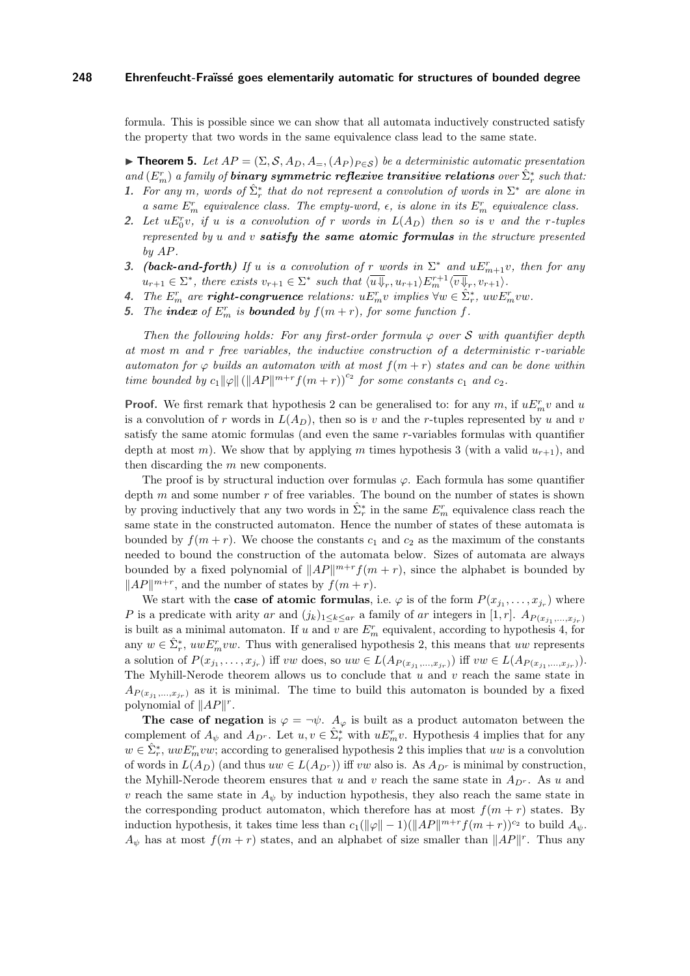formula. This is possible since we can show that all automata inductively constructed satisfy the property that two words in the same equivalence class lead to the same state.

<span id="page-6-0"></span>**Findmen 5.** Let  $AP = (\Sigma, \mathcal{S}, A_D, A_{=}, (A_P)_{P \in \mathcal{S}})$  be a deterministic automatic presentation  $and$   $(E_m^r)$  *a family of binary symmetric reflexive transitive relations over*  $\hat{\Sigma}_r^*$  *such that:* 1. For any m, words of  $\hat{\Sigma}_r^*$  that do not represent a convolution of words in  $\Sigma^*$  are alone in

- *a* same  $E_m^r$  equivalence class. The empty-word,  $\epsilon$ , is alone in its  $E_m^r$  equivalence class.
- 2. Let  $uE_0^r v$ , if u is a convolution of r words in  $L(A_D)$  then so is v and the r-tuples *represented by* u *and* v *satisfy the same atomic formulas in the structure presented by* AP*.*
- **3.** *(back-and-forth)* If u *is a convolution of* r *words* in  $\Sigma^*$  *and*  $uE_{m+1}^r v$ *, then for any*  $u_{r+1} \in \Sigma^*$ , there exists  $v_{r+1} \in \Sigma^*$  such that  $\langle \overline{u} \overline{\psi}_r, u_{r+1} \rangle E_m^{r+1} \langle \overline{v} \overline{\psi}_r, v_{r+1} \rangle$ .
- *4. The*  $E_m^r$  are *right-congruence* relations:  $uE_m^r v$  implies  $\forall w \in \hat{\Sigma}_r^*$ ,  $uwE_m^r vw$ .
- **5.** The **index** of  $E_m^r$  is **bounded** by  $f(m+r)$ , for some function f.

*Then the following holds: For any first-order formula*  $\varphi$  *over*  $S$  *with quantifier depth at most* m *and* r *free variables, the inductive construction of a deterministic* r*-variable automaton for*  $\varphi$  *builds an automaton with at most*  $f(m+r)$  *states and can be done within time bounded by*  $c_1 ||\varphi|| \left( ||AP||^{m+r} f(m+r) \right)^{c_2}$  *for some constants*  $c_1$  *and*  $c_2$ *.* 

**Proof.** We first remark that hypothesis 2 can be generalised to: for any  $m$ , if  $uE_m^r v$  and u is a convolution of r words in  $L(A_D)$ , then so is v and the r-tuples represented by u and v satisfy the same atomic formulas (and even the same r-variables formulas with quantifier depth at most m). We show that by applying m times hypothesis 3 (with a valid  $u_{r+1}$ ), and then discarding the m new components.

The proof is by structural induction over formulas  $\varphi$ . Each formula has some quantifier depth  $m$  and some number  $r$  of free variables. The bound on the number of states is shown by proving inductively that any two words in  $\hat{\Sigma}_r^*$  in the same  $E_m^r$  equivalence class reach the same state in the constructed automaton. Hence the number of states of these automata is bounded by  $f(m + r)$ . We choose the constants  $c_1$  and  $c_2$  as the maximum of the constants needed to bound the construction of the automata below. Sizes of automata are always bounded by a fixed polynomial of  $||AP||^{m+r} f(m + r)$ , since the alphabet is bounded by  $||AP||^{m+r}$ , and the number of states by  $f(m + r)$ .

We start with the **case of atomic formulas**, i.e.  $\varphi$  is of the form  $P(x_{j_1}, \ldots, x_{j_r})$  where P is a predicate with arity ar and  $(j_k)_{1 \leq k \leq ar}$  a family of ar integers in [1, r].  $A_{P(x_{j_1},...,x_{j_r})}$ is built as a minimal automaton. If u and v are  $E_m^r$  equivalent, according to hypothesis 4, for any  $w \in \hat{\Sigma}_r^*$ ,  $uwE_m^rvw$ . Thus with generalised hypothesis 2, this means that uw represents a solution of  $P(x_{j_1},...,x_{j_r})$  iff vw does, so  $uw \in L(A_{P(x_{j_1},...,x_{j_r})})$  iff  $vw \in L(A_{P(x_{j_1},...,x_{j_r})})$ . The Myhill-Nerode theorem allows us to conclude that  $u$  and  $v$  reach the same state in  $A_{P(x_{j_1},...,x_{j_r})}$  as it is minimal. The time to build this automaton is bounded by a fixed polynomial of  $||AP||^r$ .

**The case of negation** is  $\varphi = \neg \psi$ .  $A_{\varphi}$  is built as a product automaton between the complement of  $A_{\psi}$  and  $A_{D^{r}}$ . Let  $u, v \in \hat{\Sigma}_{r}^{*}$  with  $uE_{m}^{r}v$ . Hypothesis 4 implies that for any  $w \in \hat{\Sigma}_r^*$ ,  $uwE_m^rvw$ ; according to generalised hypothesis 2 this implies that  $uw$  is a convolution of words in  $L(A_D)$  (and thus  $uw \in L(A_{D^r})$ ) iff vw also is. As  $A_{D^r}$  is minimal by construction, the Myhill-Nerode theorem ensures that u and v reach the same state in  $A_{D^r}$ . As u and v reach the same state in  $A_{\psi}$  by induction hypothesis, they also reach the same state in the corresponding product automaton, which therefore has at most  $f(m + r)$  states. By induction hypothesis, it takes time less than  $c_1(\|\varphi\| - 1)(\|AP\|^{m+r} f(m+r))^{c_2}$  to build  $A_{\psi}$ .  $A_{\psi}$  has at most  $f(m + r)$  states, and an alphabet of size smaller than  $||AP||^{r}$ . Thus any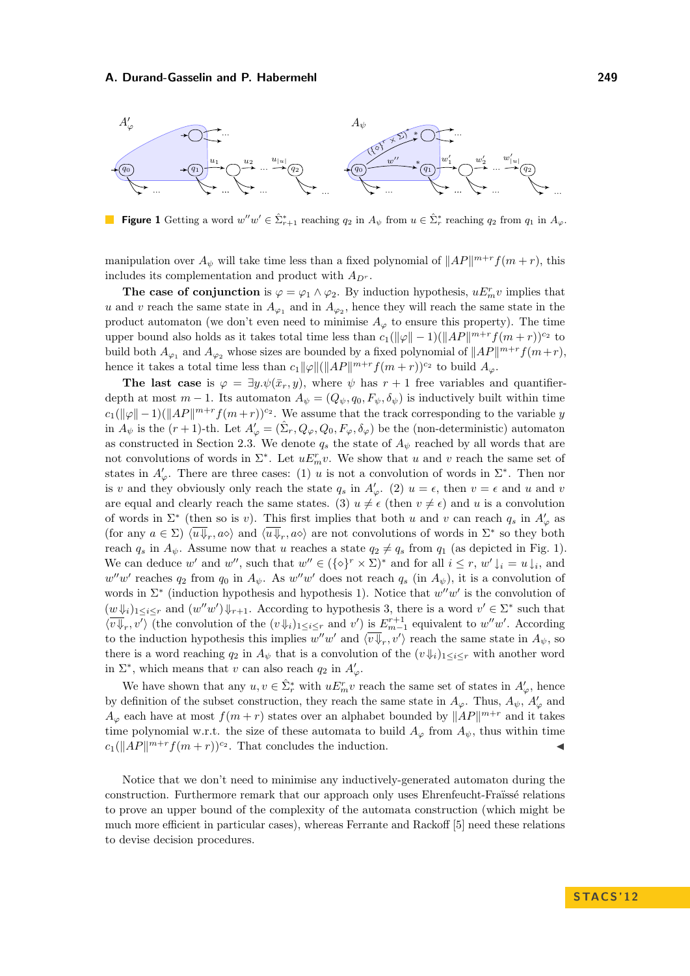

<span id="page-7-0"></span>**Figure 1** Getting a word  $w''w' \in \hat{\Sigma}_{r+1}^*$  reaching  $q_2$  in  $A_{\psi}$  from  $u \in \hat{\Sigma}_r^*$  reaching  $q_2$  from  $q_1$  in  $A_{\varphi}$ .

manipulation over  $A_{\psi}$  will take time less than a fixed polynomial of  $||AP||^{m+r} f(m+r)$ , this includes its complementation and product with  $\mathcal{A}_{D^r}.$ 

**The case of conjunction** is  $\varphi = \varphi_1 \wedge \varphi_2$ . By induction hypothesis,  $uE_m^r v$  implies that u and v reach the same state in  $A_{\varphi_1}$  and in  $A_{\varphi_2}$ , hence they will reach the same state in the product automaton (we don't even need to minimise  $A_{\varphi}$  to ensure this property). The time upper bound also holds as it takes total time less than  $c_1(\|\varphi\| - 1)(\|AP\|^{m+r} f(m+r))^{c_2}$  to build both  $A_{\varphi_1}$  and  $A_{\varphi_2}$  whose sizes are bounded by a fixed polynomial of  $||AP||^{m+r} f(m+r)$ , hence it takes a total time less than  $c_1 \|\varphi\| (\|AP\|^{m+r} f(m+r))^{c_2}$  to build  $A_{\varphi}$ .

**The last case** is  $\varphi = \exists y \cdot \psi(\bar{x}_r, y)$ , where  $\psi$  has  $r + 1$  free variables and quantifierdepth at most  $m-1$ . Its automaton  $A_{\psi} = (Q_{\psi}, q_0, F_{\psi}, \delta_{\psi})$  is inductively built within time  $c_1(\|\varphi\|-1)(\|AP\|^{m+r}f(m+r))^{c_2}$ . We assume that the track corresponding to the variable y in  $A_{\psi}$  is the  $(r+1)$ -th. Let  $A'_{\varphi} = (\hat{\Sigma}_r, Q_{\varphi}, Q_0, F_{\varphi}, \delta_{\varphi})$  be the (non-deterministic) automaton as constructed in Section [2.3.](#page-3-0) We denote  $q_s$  the state of  $A_{\psi}$  reached by all words that are not convolutions of words in  $\Sigma^*$ . Let  $uE_n^r v$ . We show that u and v reach the same set of states in  $A'_{\varphi}$ . There are three cases: (1) u is not a convolution of words in  $\Sigma^*$ . Then nor is v and they obviously only reach the state  $q_s$  in  $A'_\varphi$ . (2)  $u = \epsilon$ , then  $v = \epsilon$  and u and v are equal and clearly reach the same states. (3)  $u \neq \epsilon$  (then  $v \neq \epsilon$ ) and u is a convolution of words in  $\Sigma^*$  (then so is v). This first implies that both u and v can reach  $q_s$  in  $A'_\varphi$  as (for any  $a \in \Sigma$ )  $\langle \overline{u} \overline{\psi}_r, a \overline{\psi}_r, a \overline{\psi}_r, a \overline{\psi}_r \rangle$  are not convolutions of words in  $\Sigma^*$  so they both reach  $q_s$  in  $A_{\psi}$ . Assume now that u reaches a state  $q_2 \neq q_s$  from  $q_1$  (as depicted in Fig. [1\)](#page-7-0). We can deduce w' and w'', such that  $w'' \in (\{\diamond\}^r \times \Sigma)^*$  and for all  $i \leq r$ ,  $w' \downarrow_i = u \downarrow_i$ , and  $w''w'$  reaches  $q_2$  from  $q_0$  in  $A_{\psi}$ . As  $w''w'$  does not reach  $q_s$  (in  $A_{\psi}$ ), it is a convolution of words in  $\Sigma^*$  (induction hypothesis and hypothesis 1). Notice that  $w''w'$  is the convolution of  $(w \Downarrow_i)_{1 \leq i \leq r}$  and  $(w''w') \Downarrow_{r+1}$ . According to hypothesis 3, there is a word  $v' \in \Sigma^*$  such that  $\langle v\overline{\psi}_r, v'\rangle$  (the convolution of the  $(v\psi_i)_{1\leq i\leq r}$  and  $v'$ ) is  $E^{r+1}_{m-1}$  equivalent to  $w''w'$ . According to the induction hypothesis this implies  $w''w'$  and  $\langle v\overline{\psi}_r, v'\rangle$  reach the same state in  $A_{\psi}$ , so there is a word reaching  $q_2$  in  $A_{\psi}$  that is a convolution of the  $(v\psi_i)_{1\leq i\leq r}$  with another word in  $\Sigma^*$ , which means that v can also reach  $q_2$  in  $A'_\varphi$ .

We have shown that any  $u, v \in \hat{\Sigma}_r^*$  with  $uE_n^r v$  reach the same set of states in  $A'_\varphi$ , hence by definition of the subset construction, they reach the same state in  $A_{\varphi}$ . Thus,  $A_{\psi}$ ,  $A'_{\varphi}$  and  $A_{\varphi}$  each have at most  $f(m+r)$  states over an alphabet bounded by  $||AP||^{m+r}$  and it takes time polynomial w.r.t. the size of these automata to build  $A_{\varphi}$  from  $A_{\psi}$ , thus within time  $c_1(||AP||^{m+r}f(m+r))^{c_2}$ . That concludes the induction.

Notice that we don't need to minimise any inductively-generated automaton during the construction. Furthermore remark that our approach only uses Ehrenfeucht-Fraïssé relations to prove an upper bound of the complexity of the automata construction (which might be much more efficient in particular cases), whereas Ferrante and Rackoff [[5](#page-11-8)] need these relations to devise decision procedures.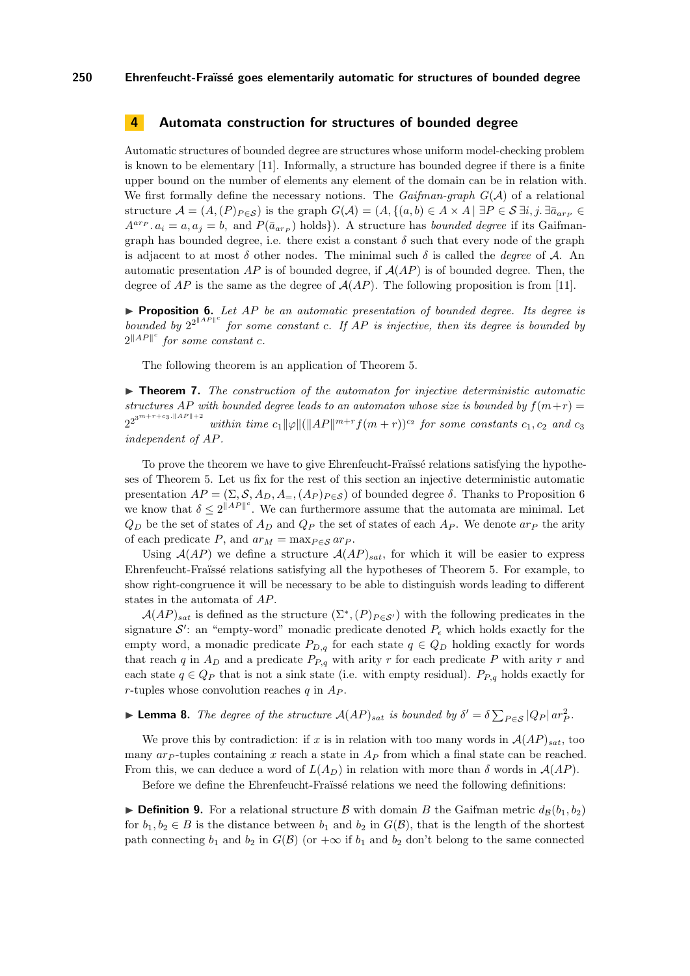## **4 Automata construction for structures of bounded degree**

Automatic structures of bounded degree are structures whose uniform model-checking problem is known to be elementary [[11](#page-11-10)]. Informally, a structure has bounded degree if there is a finite upper bound on the number of elements any element of the domain can be in relation with. We first formally define the necessary notions. The *Gaifman-graph* G(A) of a relational structure  $\mathcal{A} = (A,(P)_{P \in \mathcal{S}})$  is the graph  $G(\mathcal{A}) = (A,\{(a,b) \in A \times A \mid \exists P \in \mathcal{S} \exists i,j.\exists \bar{a}_{ar_{P}} \in \mathcal{S} \}$  $A^{ar_p}$ .  $a_i = a, a_j = b$ , and  $P(\bar{a}_{ar_p})$  holds). A structure has *bounded degree* if its Gaifmangraph has bounded degree, i.e. there exist a constant  $\delta$  such that every node of the graph is adjacent to at most  $\delta$  other nodes. The minimal such  $\delta$  is called the *degree* of A. An automatic presentation  $AP$  is of bounded degree, if  $A(AP)$  is of bounded degree. Then, the degree of AP is the same as the degree of  $A(AP)$ . The following proposition is from [\[11\]](#page-11-10).

<span id="page-8-0"></span>I **Proposition 6.** *Let* AP *be an automatic presentation of bounded degree. Its degree is* bounded by  $2^{2^{\parallel AF \parallel c}}$  for some constant c. If AP is injective, then its degree is bounded by  $2^{\parallel AP \parallel^c}$  for some constant c.

The following theorem is an application of Theorem [5.](#page-6-0)

<span id="page-8-2"></span>▶ **Theorem 7.** *The construction of the automaton for injective deterministic automatic structures* AP *with bounded degree leads to an automaton whose size is bounded by*  $f(m+r)$  $2^{2^{3^m+r+c_3.\|AP\|+2}}$ *within time*  $c_1 ||\varphi|| (||AP||^{m+r} f(m+r))^{c_2}$  *for some constants*  $c_1, c_2$  *and*  $c_3$ *independent of* AP*.*

To prove the theorem we have to give Ehrenfeucht-Fraïssé relations satisfying the hypotheses of Theorem [5.](#page-6-0) Let us fix for the rest of this section an injective deterministic automatic presentation  $AP = (\Sigma, \mathcal{S}, A_D, A_{\equiv}, (A_P)_{P \in \mathcal{S}})$  of bounded degree  $\delta$ . Thanks to Proposition [6](#page-8-0) we know that  $\delta \leq 2^{\|AP\|^c}$ . We can furthermore assume that the automata are minimal. Let  $Q_D$  be the set of states of  $A_D$  and  $Q_P$  the set of states of each  $A_P$ . We denote  $a_{P}$  the arity of each predicate P, and  $ar_M = \max_{P \in \mathcal{S}} ar_P$ .

Using  $A(AP)$  we define a structure  $A(AP)_{sat}$ , for which it will be easier to express Ehrenfeucht-Fraïssé relations satisfying all the hypotheses of Theorem [5.](#page-6-0) For example, to show right-congruence it will be necessary to be able to distinguish words leading to different states in the automata of AP.

 $\mathcal{A}(AP)_{sat}$  is defined as the structure  $(\Sigma^*, (P)_{P \in \mathcal{S}'})$  with the following predicates in the signature  $\mathcal{S}'$ : an "empty-word" monadic predicate denoted  $P_{\epsilon}$  which holds exactly for the empty word, a monadic predicate  $P_{D,q}$  for each state  $q \in Q_D$  holding exactly for words that reach q in  $A_D$  and a predicate  $P_{P,q}$  with arity r for each predicate P with arity r and each state  $q \in Q_P$  that is not a sink state (i.e. with empty residual).  $P_{P,q}$  holds exactly for r-tuples whose convolution reaches  $q$  in  $A_P$ .

<span id="page-8-1"></span>**Lemma 8.** *The degree of the structure*  $A(AP)_{sat}$  *is bounded by*  $\delta' = \delta \sum_{P \in S} |Q_P| \, ar_P^2$ *.* 

We prove this by contradiction: if x is in relation with too many words in  $\mathcal{A}(AP)_{sat}$ , too many  $ar_{P}$ -tuples containing x reach a state in  $A_{P}$  from which a final state can be reached. From this, we can deduce a word of  $L(A_D)$  in relation with more than  $\delta$  words in  $\mathcal{A}(AP)$ .

Before we define the Ehrenfeucht-Fraïssé relations we need the following definitions:

**Definition 9.** For a relational structure B with domain B the Gaifman metric  $d_B(b_1, b_2)$ for  $b_1, b_2 \in B$  is the distance between  $b_1$  and  $b_2$  in  $G(\mathcal{B})$ , that is the length of the shortest path connecting  $b_1$  and  $b_2$  in  $G(\mathcal{B})$  (or  $+\infty$  if  $b_1$  and  $b_2$  don't belong to the same connected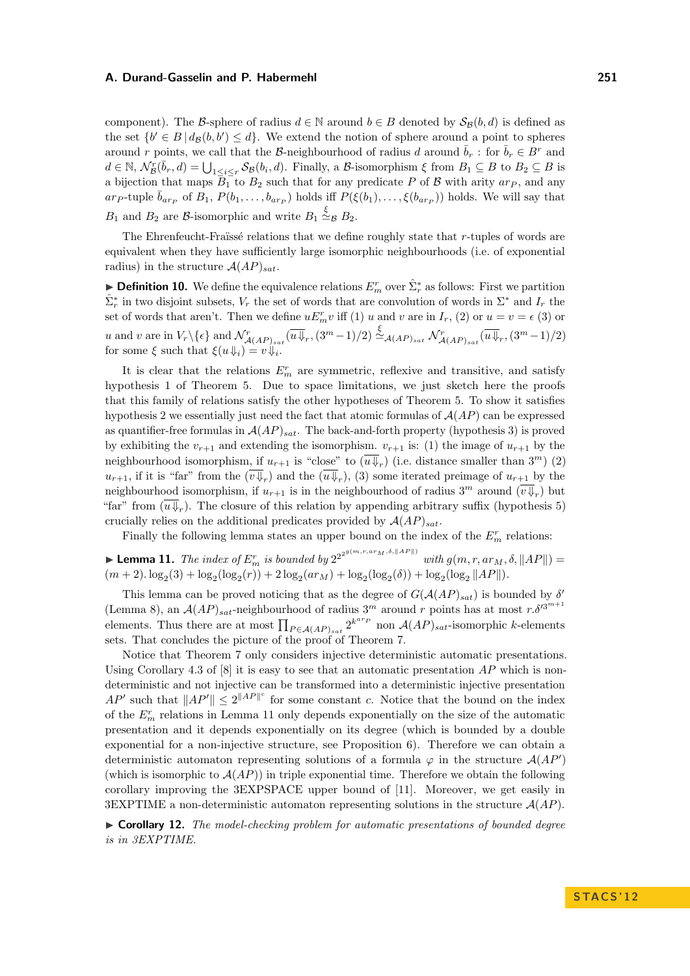component). The B-sphere of radius  $d \in \mathbb{N}$  around  $b \in B$  denoted by  $S_B(b, d)$  is defined as the set  $\{b' \in B \mid d_{\mathcal{B}}(b, b') \leq d\}$ . We extend the notion of sphere around a point to spheres around r points, we call that the B-neighbourhood of radius d around  $\bar{b}_r$ : for  $\bar{b}_r \in B^r$  and  $d \in \mathbb{N}, \mathcal{N}_{\mathcal{B}}^{r}(\bar{b}_{r}, d) = \bigcup_{1 \leq i \leq r} \mathcal{S}_{\mathcal{B}}(b_{i}, d)$ . Finally, a B-isomorphism  $\xi$  from  $B_1 \subseteq B$  to  $B_2 \subseteq B$  is a bijection that maps  $B_1$  to  $B_2$  such that for any predicate P of B with arity  $ar_p$ , and any ar<sub>P</sub>-tuple  $\bar{b}_{ar_p}$  of  $B_1, P(b_1, \ldots, b_{ar_p})$  holds iff  $P(\xi(b_1), \ldots, \xi(b_{ar_p}))$  holds. We will say that  $B_1$  and  $B_2$  are  $\beta$ -isomorphic and write  $B_1 \stackrel{\xi}{\simeq}_{\beta} B_2$ .

The Ehrenfeucht-Fraïssé relations that we define roughly state that r-tuples of words are equivalent when they have sufficiently large isomorphic neighbourhoods (i.e. of exponential radius) in the structure  $A(AP)_{sat}$ .

**Definition 10.** We define the equivalence relations  $E_n^r$  over  $\hat{\Sigma}_r^*$  as follows: First we partition  $\hat{\Sigma}_r^*$  in two disjoint subsets,  $V_r$  the set of words that are convolution of words in  $\Sigma^*$  and  $I_r$  the set of words that aren't. Then we define  $uE_m^r v$  iff (1) u and v are in  $I_r$ , (2) or  $u = v = \epsilon$  (3) or u and v are in  $V_r \setminus {\epsilon}$  and  $\mathcal{N}^r_{\mathcal{A}(AP)_{sat}}(\overline{u} \overline{\Downarrow}_r, (3^m-1)/2) \stackrel{\xi}{\simeq}_{\mathcal{A}(AP)_{sat}} \mathcal{N}^r_{\mathcal{A}(AP)_{sat}}(\overline{u} \overline{\Downarrow}_r, (3^m-1)/2)$ for some  $\xi$  such that  $\xi(u\downarrow i) = v\downarrow i$ .

It is clear that the relations  $E_m^r$  are symmetric, reflexive and transitive, and satisfy hypothesis 1 of Theorem [5.](#page-6-0) Due to space limitations, we just sketch here the proofs that this family of relations satisfy the other hypotheses of Theorem [5.](#page-6-0) To show it satisfies hypothesis 2 we essentially just need the fact that atomic formulas of  $A(AP)$  can be expressed as quantifier-free formulas in  $A(AP)_{sat}$ . The back-and-forth property (hypothesis 3) is proved by exhibiting the  $v_{r+1}$  and extending the isomorphism.  $v_{r+1}$  is: (1) the image of  $u_{r+1}$  by the neighbourhood isomorphism, if  $u_{r+1}$  is "close" to  $(\overline{u}\overline{\Downarrow}_r)$  (i.e. distance smaller than  $3^m$ ) (2)  $u_{r+1}$ , if it is "far" from the  $(v\psi_r)$  and the  $(u\psi_r)$ , (3) some iterated preimage of  $u_{r+1}$  by the neighbourhood isomorphism, if  $u_{r+1}$  is in the neighbourhood of radius  $3^m$  around  $(\overline{v} \overline{\psi}_r)$  but "far" from  $(u\psi_r)$ . The closure of this relation by appending arbitrary suffix (hypothesis 5) crucially relies on the additional predicates provided by  $A(AP)_{sat}$ .

Finally the following lemma states an upper bound on the index of the  $E_m^r$  relations:

<span id="page-9-0"></span>**Lemma 11.** *The index of*  $E_m^r$  *is bounded by*  $2^{2^{2^{g(m,r,ar_M,\delta,\|AP\|)}}}$  *with*  $g(m,r,ar_M,\delta, \|AP\|)$  =  $(m+2) \cdot \log_2(3) + \log_2(\log_2(r)) + 2 \log_2(ar_M) + \log_2(\log_2(\delta)) + \log_2(\log_2 ||AP||)$ .

This lemma can be proved noticing that as the degree of  $G(AAP)_{sat}$  is bounded by  $\delta'$ (Lemma [8\)](#page-8-1), an  $\mathcal{A}(AP)_{sat}$ -neighbourhood of radius 3<sup>m</sup> around r points has at most  $r.\delta'^{3^{m+1}}$ elements. Thus there are at most  $\prod_{P \in A(AP)_{sat}} 2^{k^{arp}}$  non  $A(AP)_{sat}$ -isomorphic k-elements sets. That concludes the picture of the proof of Theorem [7.](#page-8-2)

Notice that Theorem [7](#page-8-2) only considers injective deterministic automatic presentations. Using Corollary 4.3 of  $[8]$  $[8]$  $[8]$  it is easy to see that an automatic presentation AP which is nondeterministic and not injective can be transformed into a deterministic injective presentation  $AP'$  such that  $||AP'|| \leq 2||AP||^c$  for some constant c. Notice that the bound on the index of the  $E_m^r$  relations in Lemma [11](#page-9-0) only depends exponentially on the size of the automatic presentation and it depends exponentially on its degree (which is bounded by a double exponential for a non-injective structure, see Proposition [6\)](#page-8-0). Therefore we can obtain a deterministic automaton representing solutions of a formula  $\varphi$  in the structure  $\mathcal{A}(AP)$ (which is isomorphic to  $A(AP)$ ) in triple exponential time. Therefore we obtain the following corollary improving the 3EXPSPACE upper bound of [[11](#page-11-10)]. Moreover, we get easily in 3EXPTIME a non-deterministic automaton representing solutions in the structure  $\mathcal{A}(AP)$ .

► Corollary 12. The model-checking problem for automatic presentations of bounded degree *is in 3EXPTIME.*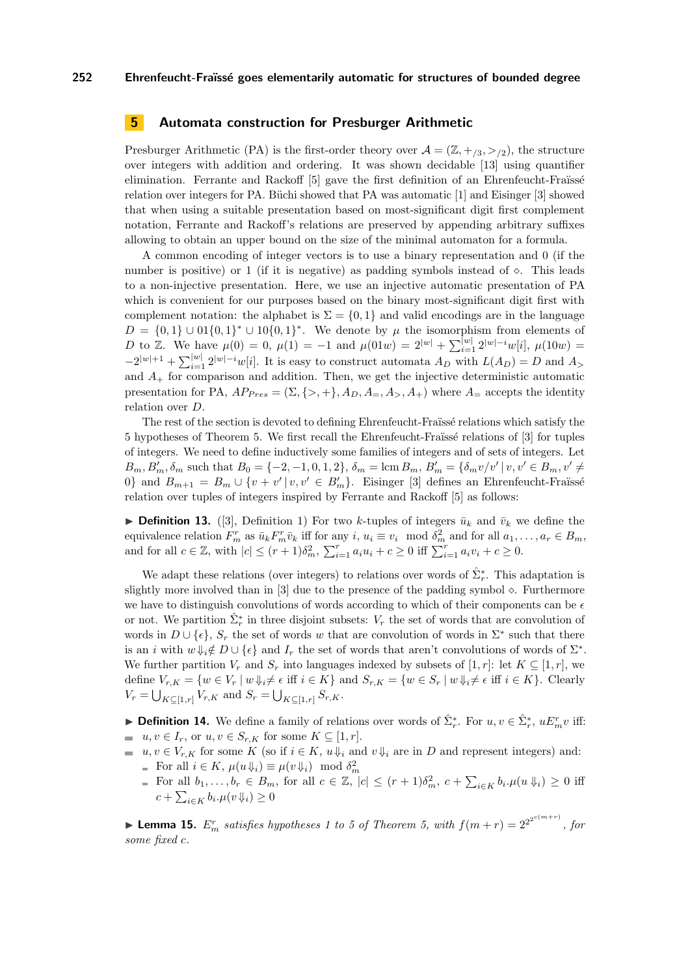## **5 Automata construction for Presburger Arithmetic**

Presburger Arithmetic (PA) is the first-order theory over  $\mathcal{A} = (\mathbb{Z}, +1/3, >1/2)$ , the structure over integers with addition and ordering. It was shown decidable [[13](#page-11-13)] using quantifier elimination. Ferrante and Rackoff [[5](#page-11-8)] gave the first definition of an Ehrenfeucht-Fraïssé relation over integers for PA. Büchi showed that PA was automatic [[1](#page-11-0)] and Eisinger [[3](#page-11-5)] showed that when using a suitable presentation based on most-significant digit first complement notation, Ferrante and Rackoff's relations are preserved by appending arbitrary suffixes allowing to obtain an upper bound on the size of the minimal automaton for a formula.

A common encoding of integer vectors is to use a binary representation and 0 (if the number is positive) or 1 (if it is negative) as padding symbols instead of  $\circ$ . This leads to a non-injective presentation. Here, we use an injective automatic presentation of PA which is convenient for our purposes based on the binary most-significant digit first with complement notation: the alphabet is  $\Sigma = \{0, 1\}$  and valid encodings are in the language  $D = \{0,1\} \cup 01\{0,1\}^* \cup 10\{0,1\}^*$ . We denote by  $\mu$  the isomorphism from elements of D to Z. We have  $\mu(0) = 0$ ,  $\mu(1) = -1$  and  $\mu(01w) = 2^{|w|} + \sum_{i=1}^{|w|} 2^{|w|-i} w[i]$ ,  $\mu(10w) =$  $-2^{|w|+1} + \sum_{i=1}^{|w|} 2^{|w|-i} w[i]$ . It is easy to construct automata  $A_D$  with  $L(A_D) = D$  and  $A_{\geq}$ and  $A_{+}$  for comparison and addition. Then, we get the injective deterministic automatic presentation for PA,  $AP_{Pres} = (\Sigma, \{>, +\}, A_D, A_-, A_>, A_+)$  where  $A_=$  accepts the identity relation over D.

The rest of the section is devoted to defining Ehrenfeucht-Fraïssé relations which satisfy the 5 hypotheses of Theorem [5.](#page-6-0) We first recall the Ehrenfeucht-Fraïssé relations of [[3](#page-11-5)] for tuples of integers. We need to define inductively some families of integers and of sets of integers. Let  $B_m, B'_m, \delta_m$  such that  $B_0 = \{-2, -1, 0, 1, 2\}, \delta_m = \text{lcm } B_m, B'_m = \{\delta_m v/v' | v, v' \in B_m, v' \neq 0\}$ 0} and  $B_{m+1} = B_m \cup \{v + v' | v, v' \in B'_m\}$ . Eisinger [[3](#page-11-5)] defines an Ehrenfeucht-Fraïssé relation over tuples of integers inspired by Ferrante and Rackoff [\[5\]](#page-11-8) as follows:

▶ **Definition 1[3](#page-11-5).** ([3], Definition 1) For two k-tuples of integers  $\bar{u}_k$  and  $\bar{v}_k$  we define the equivalence relation  $F_m^r$  as  $\bar{u}_k F_m^r \bar{v}_k$  iff for any  $i, u_i \equiv v_i \mod \delta_m^2$  and for all  $a_1, \ldots, a_r \in B_m$ , and for all  $c \in \mathbb{Z}$ , with  $|c| \le (r+1)\delta_m^2$ ,  $\sum_{i=1}^r a_i u_i + c \ge 0$  iff  $\sum_{i=1}^r a_i v_i + c \ge 0$ .

We adapt these relations (over integers) to relations over words of  $\hat{\Sigma}_{r}^{*}$ . This adaptation is slightly more involved than in  $[3]$  $[3]$  $[3]$  due to the presence of the padding symbol  $\diamond$ . Furthermore we have to distinguish convolutions of words according to which of their components can be  $\epsilon$ or not. We partition  $\hat{\Sigma}_r^*$  in three disjoint subsets:  $V_r$  the set of words that are convolution of words in  $D \cup \{\epsilon\}, S_r$  the set of words w that are convolution of words in  $\Sigma^*$  such that there is an i with  $w \Downarrow_i \notin D \cup \{\epsilon\}$  and  $I_r$  the set of words that aren't convolutions of words of  $\Sigma^*$ . We further partition  $V_r$  and  $S_r$  into languages indexed by subsets of [1, r]: let  $K \subseteq [1, r]$ , we define  $V_{r,K} = \{w \in V_r \mid w \Downarrow_i \neq \epsilon \text{ iff } i \in K\}$  and  $S_{r,K} = \{w \in S_r \mid w \Downarrow_i \neq \epsilon \text{ iff } i \in K\}$ . Clearly  $V_r = \bigcup_{K \subseteq [1,r]} V_{r,K}$  and  $S_r = \bigcup_{K \subseteq [1,r]} S_{r,K}.$ 

**► Definition 14.** We define a family of relations over words of  $\hat{\Sigma}_r^*$ . For  $u, v \in \hat{\Sigma}_r^*$ ,  $uE_m^r v$  iff:

- $u, v \in I_r$ , or  $u, v \in S_{r,K}$  for some  $K \subseteq [1, r]$ .
- $u, v \in V_{r,K}$  for some K (so if  $i \in K$ ,  $u \Downarrow_i$  and  $v \Downarrow_i$  are in D and represent integers) and: For all  $i \in K$ ,  $\mu(u \Downarrow_i) \equiv \mu(v \Downarrow_i) \mod \delta_m^2$ 
	- For all  $b_1, \ldots, b_r \in B_m$ , for all  $c \in \mathbb{Z}$ ,  $|c| \leq (r+1)\delta_m^2$ ,  $c + \sum_{i \in K} b_i \cdot \mu(u \Downarrow_i) \geq 0$  iff  $c + \sum_{i \in K} b_i \cdot \mu(v \Downarrow_i) \geq 0$

**Lemma 15.**  $E_m^r$  satisfies hypotheses 1 to 5 of Theorem [5,](#page-6-0) with  $f(m+r) = 2^{2^{2^{c(m+r)}}}$ , for *some fixed* c*.*